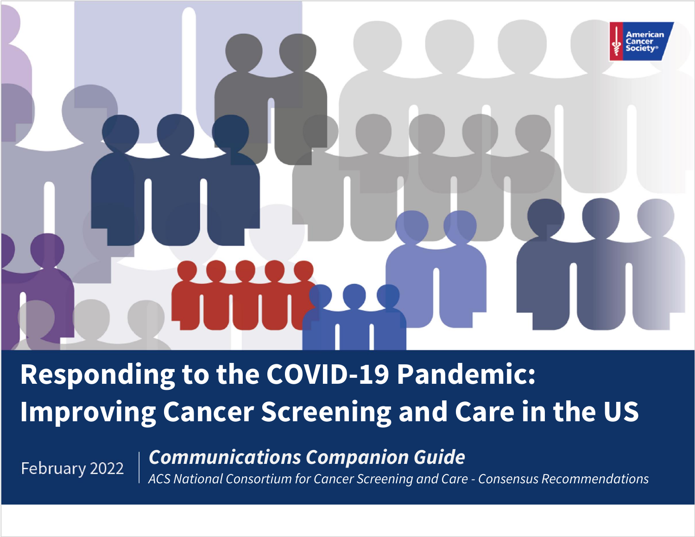# America

**Responding to the COVID-19 Pandemic: Improving Cancer Screening and Care in the US**

February 2022

*Communications Companion Guide*

*ACS National Consortium for Cancer Screening and Care - Consensus Recommendations*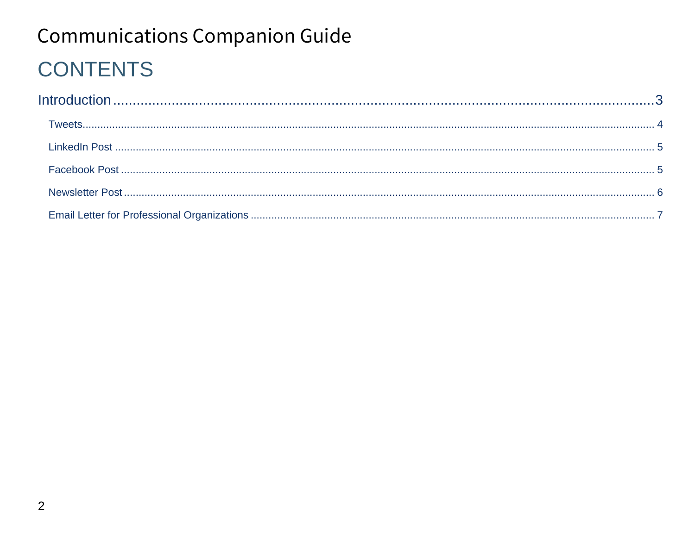# **Communications Companion Guide CONTENTS**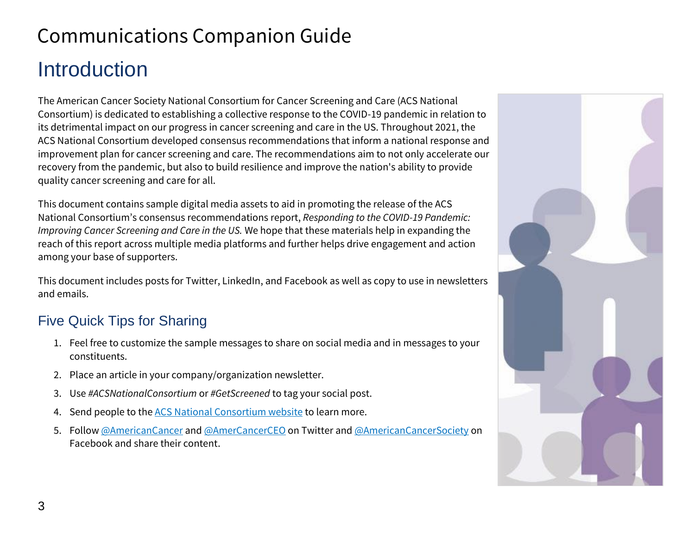# <span id="page-2-0"></span>Communications Companion Guide **Introduction**

The American Cancer Society National Consortium for Cancer Screening and Care (ACS National Consortium) is dedicated to establishing a collective response to the COVID-19 pandemic in relation to its detrimental impact on our progress in cancer screening and care in the US. Throughout 2021, the ACS National Consortium developed consensus recommendations that inform a national response and improvement plan for cancer screening and care. The recommendations aim to not only accelerate our recovery from the pandemic, but also to build resilience and improve the nation's ability to provide quality cancer screening and care for all.

This document contains sample digital media assets to aid in promoting the release of the ACS National Consortium's consensus recommendations report, *Responding to the COVID-19 Pandemic: Improving Cancer Screening and Care in the US.* We hope that these materials help in expanding the reach of this report across multiple media platforms and further helps drive engagement and action among your base of supporters.

This document includes posts for Twitter, LinkedIn, and Facebook as well as copy to use in newsletters and emails.

### Five Quick Tips for Sharing

- 1. Feel free to customize the sample messages to share on social media and in messages to your constituents.
- 2. Place an article in your company/organization newsletter.
- 3. Use *#ACSNationalConsortium* or *#GetScreened* to tag your social post.
- 4. Send people to the ACS National [Consortium website](https://consortium.acs4ccc.org/) to learn more.
- 5. Follow [@AmericanCancer](https://twitter.com/AmericanCancer) an[d @AmerCancerCEO](https://twitter.com/AmerCancerCEO/) on Twitter and [@AmericanCancerSociety](https://www.facebook.com/AmericanCancerSociety) on Facebook and share their content.

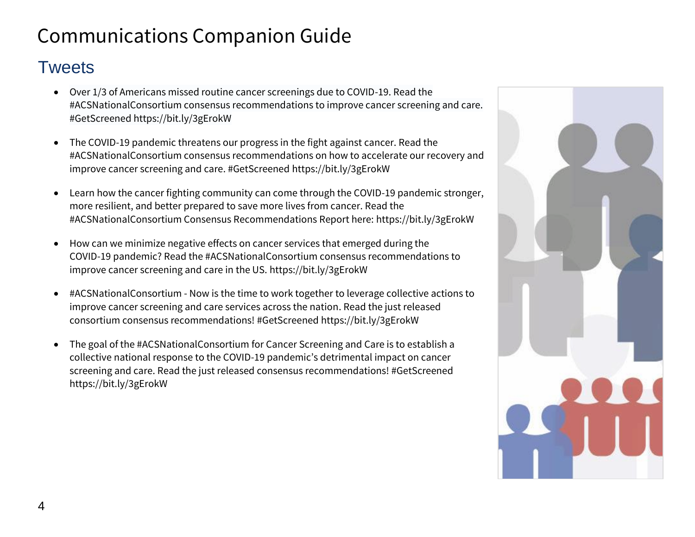### <span id="page-3-0"></span>Tweets

- Over 1/3 of Americans missed routine cancer screenings due to COVID-19. Read the #ACSNationalConsortium consensus recommendations to improve cancer screening and care. #GetScreened https://bit.ly/3gErokW
- The COVID-19 pandemic threatens our progress in the fight against cancer. Read the #ACSNationalConsortium consensus recommendations on how to accelerate our recovery and improve cancer screening and care. #GetScreened https://bit.ly/3gErokW
- Learn how the cancer fighting community can come through the COVID-19 pandemic stronger, more resilient, and better prepared to save more lives from cancer. Read the #ACSNationalConsortium Consensus Recommendations Report here: https://bit.ly/3gErokW
- How can we minimize negative effects on cancer services that emerged during the COVID-19 pandemic? Read the #ACSNationalConsortium consensus recommendations to improve cancer screening and care in the US. https://bit.ly/3gErokW
- #ACSNationalConsortium Now is the time to work together to leverage collective actions to improve cancer screening and care services across the nation. Read the just released consortium consensus recommendations! #GetScreened https://bit.ly/3gErokW
- The goal of the #ACSNationalConsortium for Cancer Screening and Care is to establish a collective national response to the COVID-19 pandemic's detrimental impact on cancer screening and care. Read the just released consensus recommendations! #GetScreened https://bit.ly/3gErokW

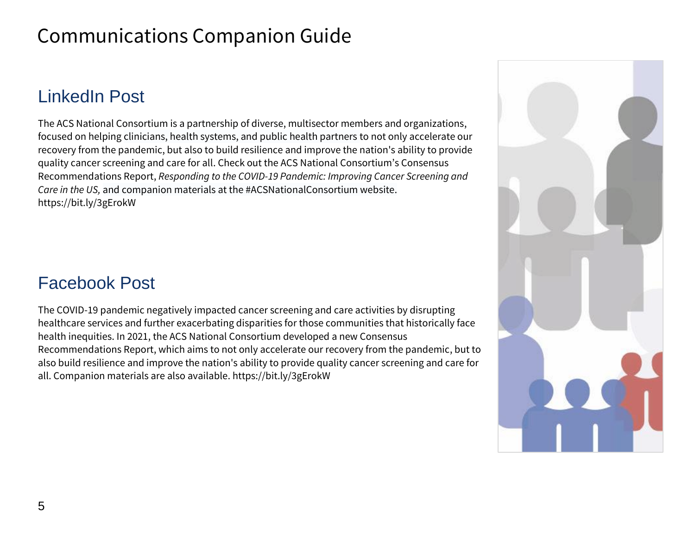# <span id="page-4-0"></span>LinkedIn Post

The ACS National Consortium is a partnership of diverse, multisector members and organizations, focused on helping clinicians, health systems, and public health partners to not only accelerate our recovery from the pandemic, but also to build resilience and improve the nation's ability to provide quality cancer screening and care for all. Check out the ACS National Consortium's Consensus Recommendations Report, *Responding to the COVID-19 Pandemic: Improving Cancer Screening and Care in the US,* and companion materials at the #ACSNationalConsortium website. https://bit.ly/3gErokW

### <span id="page-4-1"></span>Facebook Post

The COVID-19 pandemic negatively impacted cancer screening and care activities by disrupting healthcare services and further exacerbating disparities for those communities that historically face health inequities. In 2021, the ACS National Consortium developed a new Consensus Recommendations Report, which aims to not only accelerate our recovery from the pandemic, but to also build resilience and improve the nation's ability to provide quality cancer screening and care for all. Companion materials are also available. https://bit.ly/3gErokW

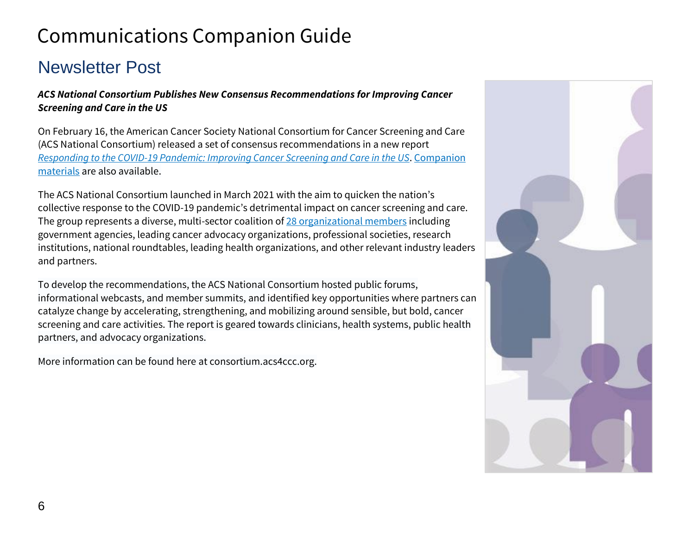# <span id="page-5-0"></span>Newsletter Post

*ACS National Consortium Publishes New Consensus Recommendations for Improving Cancer Screening and Care in the US*

On February 16, the American Cancer Society National Consortium for Cancer Screening and Care (ACS National Consortium) released a set of consensus recommendations in a new report *[Responding to the COVID-19 Pandemic: Improving Cancer Screening and Care in the US](https://bit.ly/3gErokW)*. [Companion](https://consortium.acs4ccc.org/mobilize/)  [materials](https://consortium.acs4ccc.org/mobilize/) are also available.

The ACS National Consortium launched in March 2021 with the aim to quicken the nation's collective response to the COVID-19 pandemic's detrimental impact on cancer screening and care. The group represents a diverse, multi-sector coalition of [28 organizational members](https://consortium.acs4ccc.org/about-the-consortium-members/) including government agencies, leading cancer advocacy organizations, professional societies, research institutions, national roundtables, leading health organizations, and other relevant industry leaders and partners.

To develop the recommendations, the ACS National Consortium hosted public forums, informational webcasts, and member summits, and identified key opportunities where partners can catalyze change by accelerating, strengthening, and mobilizing around sensible, but bold, cancer screening and care activities. The report is geared towards clinicians, health systems, public health partners, and advocacy organizations.

More information can be found here at consortium.acs4ccc.org.

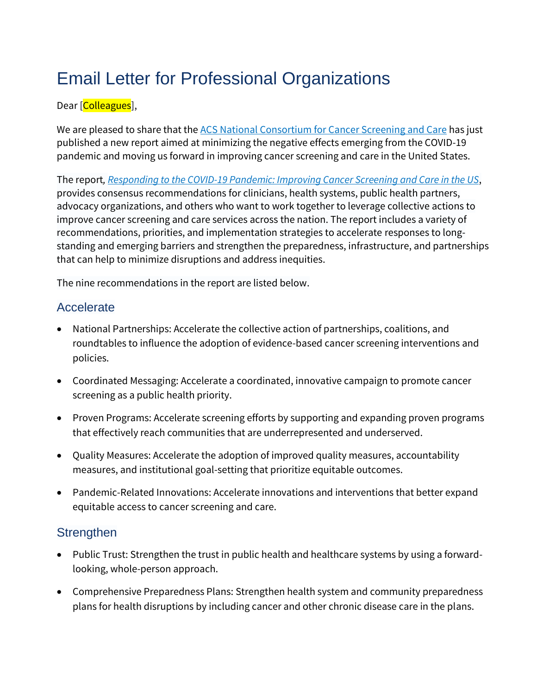# <span id="page-6-0"></span>Email Letter for Professional Organizations

### Dear [Colleagues],

We are pleased to share that the [ACS National Consortium](https://consortium.acs4ccc.org/) for Cancer Screening and Care has just published a new report aimed at minimizing the negative effects emerging from the COVID-19 pandemic and moving us forward in improving cancer screening and care in the United States.

The report*, [Responding to the COVID-19 Pandemic: Improving Cancer Screening and Care in the US](https://bit.ly/3gErokW)*, provides consensus recommendations for clinicians, health systems, public health partners, advocacy organizations, and others who want to work together to leverage collective actions to improve cancer screening and care services across the nation. The report includes a variety of recommendations, priorities, and implementation strategies to accelerate responses to longstanding and emerging barriers and strengthen the preparedness, infrastructure, and partnerships that can help to minimize disruptions and address inequities.

The nine recommendations in the report are listed below.

### **Accelerate**

- National Partnerships: Accelerate the collective action of partnerships, coalitions, and roundtables to influence the adoption of evidence-based cancer screening interventions and policies.
- Coordinated Messaging: Accelerate a coordinated, innovative campaign to promote cancer screening as a public health priority.
- Proven Programs: Accelerate screening efforts by supporting and expanding proven programs that effectively reach communities that are underrepresented and underserved.
- Quality Measures: Accelerate the adoption of improved quality measures, accountability measures, and institutional goal-setting that prioritize equitable outcomes.
- Pandemic-Related Innovations: Accelerate innovations and interventions that better expand equitable access to cancer screening and care.

### **Strengthen**

- Public Trust: Strengthen the trust in public health and healthcare systems by using a forwardlooking, whole-person approach.
- Comprehensive Preparedness Plans: Strengthen health system and community preparedness plans for health disruptions by including cancer and other chronic disease care in the plans.